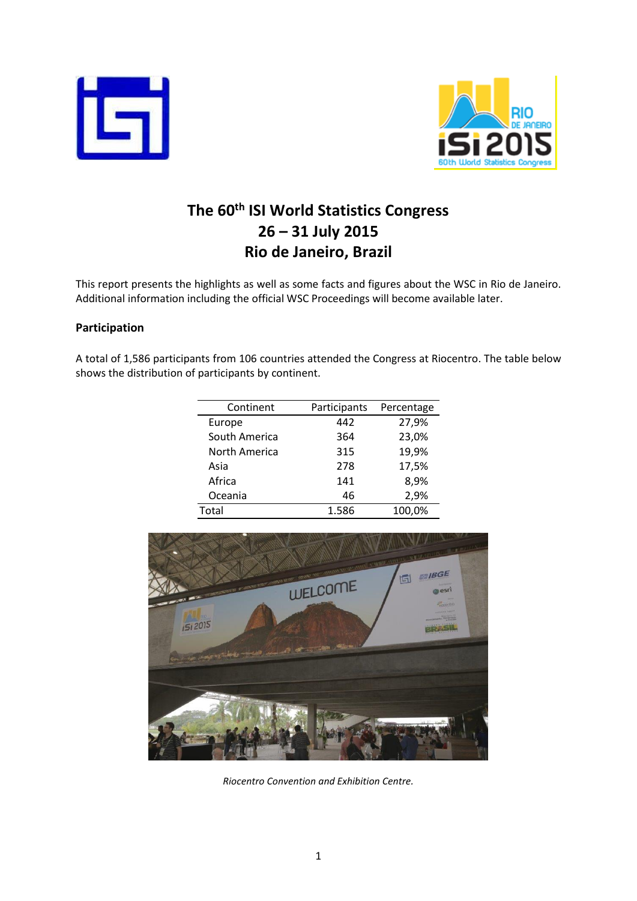



# **The 60th ISI World Statistics Congress 26 – 31 July 2015 Rio de Janeiro, Brazil**

This report presents the highlights as well as some facts and figures about the WSC in Rio de Janeiro. Additional information including the official WSC Proceedings will become available later.

## **Participation**

A total of 1,586 participants from 106 countries attended the Congress at Riocentro. The table below shows the distribution of participants by continent.

| Continent     | Participants | Percentage |
|---------------|--------------|------------|
| Europe        | 442          | 27,9%      |
| South America | 364          | 23,0%      |
| North America | 315          | 19,9%      |
| Asia          | 278          | 17,5%      |
| Africa        | 141          | 8,9%       |
| Oceania       | 46           | 2,9%       |
| Total         | 1.586        | 100,0%     |



*Riocentro Convention and Exhibition Centre.*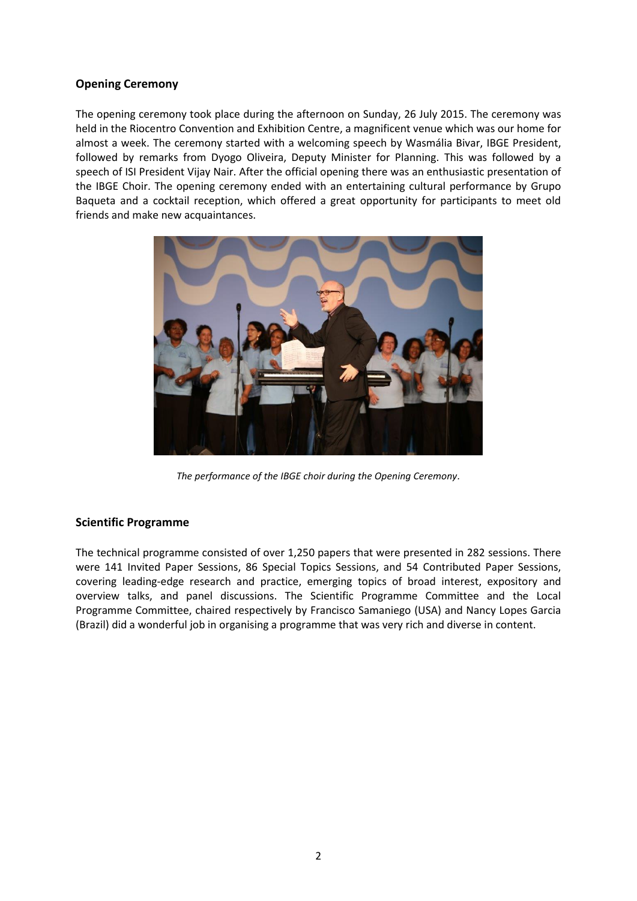## **Opening Ceremony**

The opening ceremony took place during the afternoon on Sunday, 26 July 2015. The ceremony was held in the Riocentro Convention and Exhibition Centre, a magnificent venue which was our home for almost a week. The ceremony started with a welcoming speech by Wasmália Bivar, IBGE President, followed by remarks from Dyogo Oliveira, Deputy Minister for Planning. This was followed by a speech of ISI President Vijay Nair. After the official opening there was an enthusiastic presentation of the IBGE Choir. The opening ceremony ended with an entertaining cultural performance by Grupo Baqueta and a cocktail reception, which offered a great opportunity for participants to meet old friends and make new acquaintances.



*The performance of the IBGE choir during the Opening Ceremony.*

## **Scientific Programme**

The technical programme consisted of over 1,250 papers that were presented in 282 sessions. There were 141 Invited Paper Sessions, 86 Special Topics Sessions, and 54 Contributed Paper Sessions, covering leading-edge research and practice, emerging topics of broad interest, expository and overview talks, and panel discussions. The Scientific Programme Committee and the Local Programme Committee, chaired respectively by Francisco Samaniego (USA) and Nancy Lopes Garcia (Brazil) did a wonderful job in organising a programme that was very rich and diverse in content.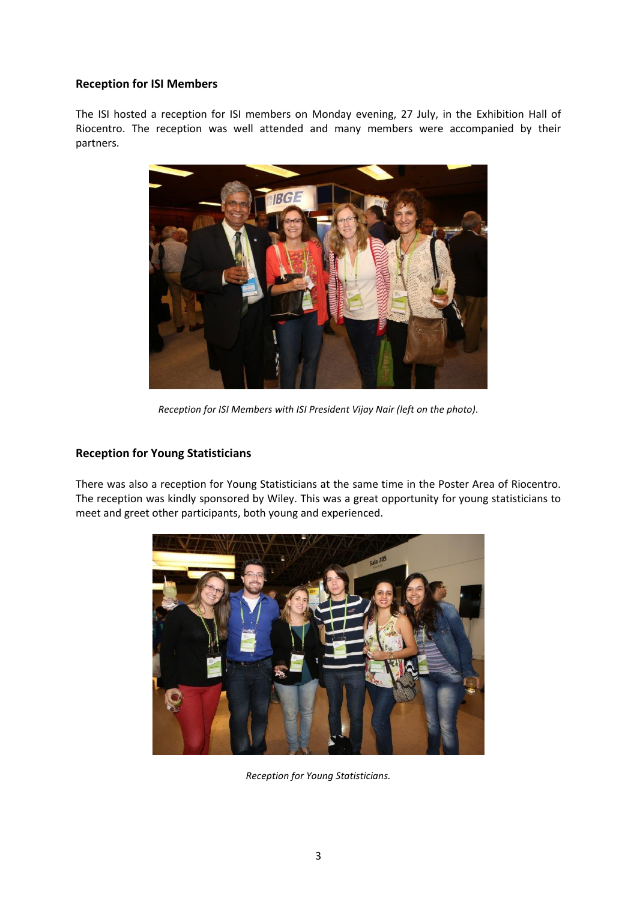#### **Reception for ISI Members**

The ISI hosted a reception for ISI members on Monday evening, 27 July, in the Exhibition Hall of Riocentro. The reception was well attended and many members were accompanied by their partners.



*Reception for ISI Members with ISI President Vijay Nair (left on the photo).*

## **Reception for Young Statisticians**

There was also a reception for Young Statisticians at the same time in the Poster Area of Riocentro. The reception was kindly sponsored by Wiley. This was a great opportunity for young statisticians to meet and greet other participants, both young and experienced.



*Reception for Young Statisticians.*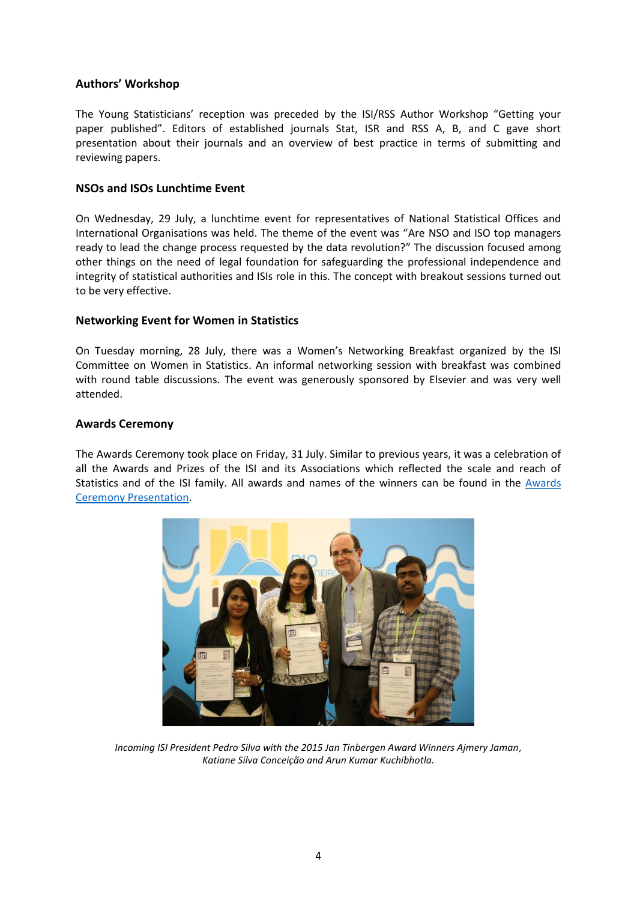## **Authors' Workshop**

The Young Statisticians' reception was preceded by the ISI/RSS Author Workshop "Getting your paper published". Editors of established journals Stat, ISR and RSS A, B, and C gave short presentation about their journals and an overview of best practice in terms of submitting and reviewing papers.

#### **NSOs and ISOs Lunchtime Event**

On Wednesday, 29 July, a lunchtime event for representatives of National Statistical Offices and International Organisations was held. The theme of the event was "Are NSO and ISO top managers ready to lead the change process requested by the data revolution?" The discussion focused among other things on the need of legal foundation for safeguarding the professional independence and integrity of statistical authorities and ISIs role in this. The concept with breakout sessions turned out to be very effective.

#### **Networking Event for Women in Statistics**

On Tuesday morning, 28 July, there was a Women's Networking Breakfast organized by the ISI Committee on Women in Statistics. An informal networking session with breakfast was combined with round table discussions. The event was generously sponsored by Elsevier and was very well attended.

#### **Awards Ceremony**

The Awards Ceremony took place on Friday, 31 July. Similar to previous years, it was a celebration of all the Awards and Prizes of the ISI and its Associations which reflected the scale and reach of Statistics and of the ISI family. All awards and names of the winners can be found in the [Awards](http://www.isi-web.org/images/WSC/2015/Awards%20Ceremony%202015.pdf)  [Ceremony Presentation.](http://www.isi-web.org/images/WSC/2015/Awards%20Ceremony%202015.pdf)



*Incoming ISI President Pedro Silva with the 2015 Jan Tinbergen Award Winners Ajmery Jaman, Katiane Silva Conceição and Arun Kumar Kuchibhotla.*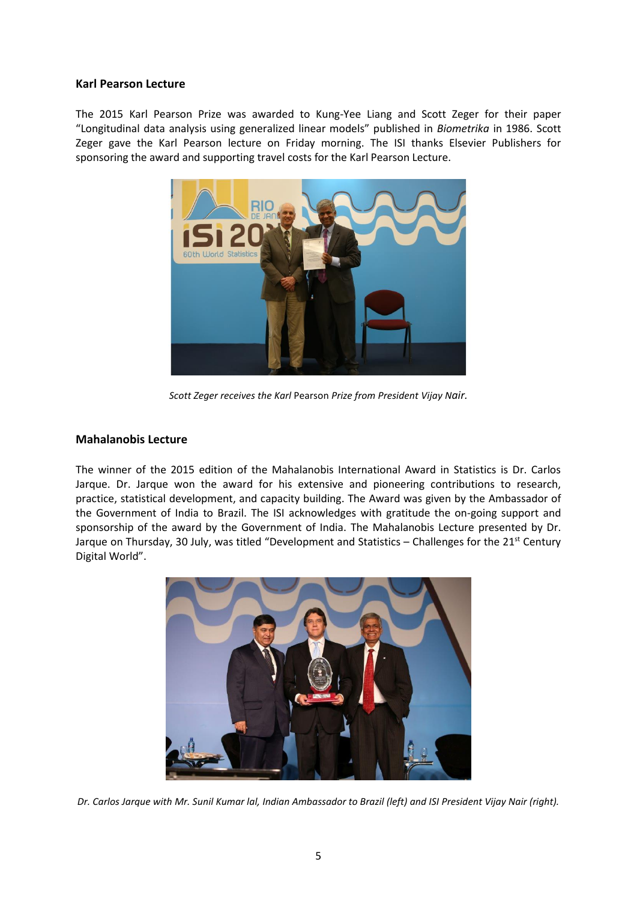#### **Karl Pearson Lecture**

The 2015 Karl Pearson Prize was awarded to Kung-Yee Liang and Scott Zeger for their paper "Longitudinal data analysis using generalized linear models" published in *Biometrika* in 1986. Scott Zeger gave the Karl Pearson lecture on Friday morning. The ISI thanks Elsevier Publishers for sponsoring the award and supporting travel costs for the Karl Pearson Lecture.



*Scott Zeger receives the Karl* Pearson *Prize from President Vijay Nair.*

#### **Mahalanobis Lecture**

The winner of the 2015 edition of the Mahalanobis International Award in Statistics is Dr. Carlos Jarque. Dr. Jarque won the award for his extensive and pioneering contributions to research, practice, statistical development, and capacity building. The Award was given by the Ambassador of the Government of India to Brazil. The ISI acknowledges with gratitude the on-going support and sponsorship of the award by the Government of India. The Mahalanobis Lecture presented by Dr. Jarque on Thursday, 30 July, was titled "Development and Statistics – Challenges for the 21<sup>st</sup> Century Digital World".



*Dr. Carlos Jarque with Mr. Sunil Kumar lal, Indian Ambassador to Brazil (left) and ISI President Vijay Nair (right).*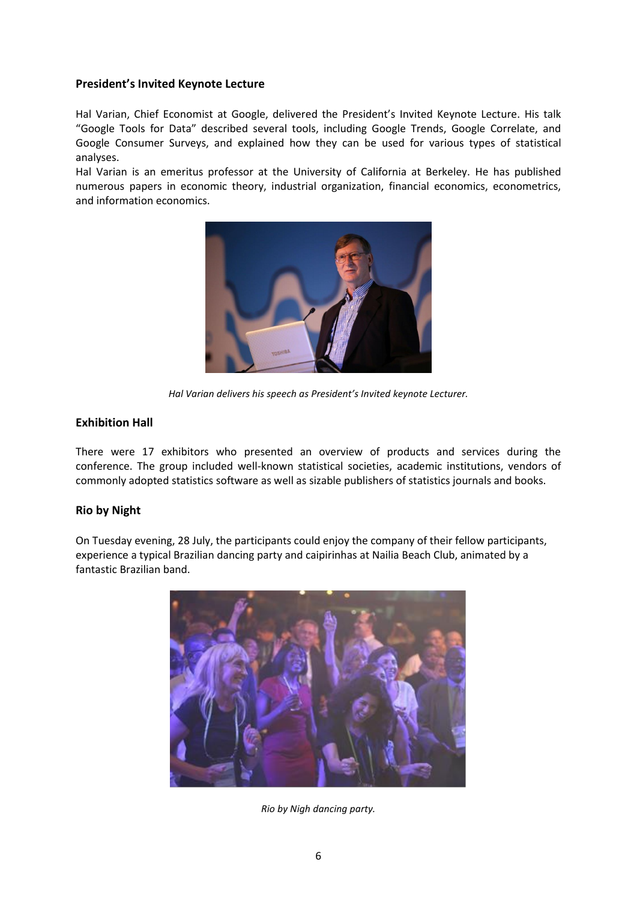## **President's Invited Keynote Lecture**

Hal Varian, Chief Economist at Google, delivered the President's Invited Keynote Lecture. His talk "Google Tools for Data" described several tools, including Google Trends, Google Correlate, and Google Consumer Surveys, and explained how they can be used for various types of statistical analyses.

Hal Varian is an emeritus professor at the University of California at Berkeley. He has published numerous papers in economic theory, industrial organization, financial economics, econometrics, and information economics.



*Hal Varian delivers his speech as President's Invited keynote Lecturer.*

## **Exhibition Hall**

There were 17 exhibitors who presented an overview of products and services during the conference. The group included well-known statistical societies, academic institutions, vendors of commonly adopted statistics software as well as sizable publishers of statistics journals and books.

## **Rio by Night**

On Tuesday evening, 28 July, the participants could enjoy the company of their fellow participants, experience a typical Brazilian dancing party and caipirinhas at Nailia Beach Club, animated by a fantastic Brazilian band.



*Rio by Nigh dancing party.*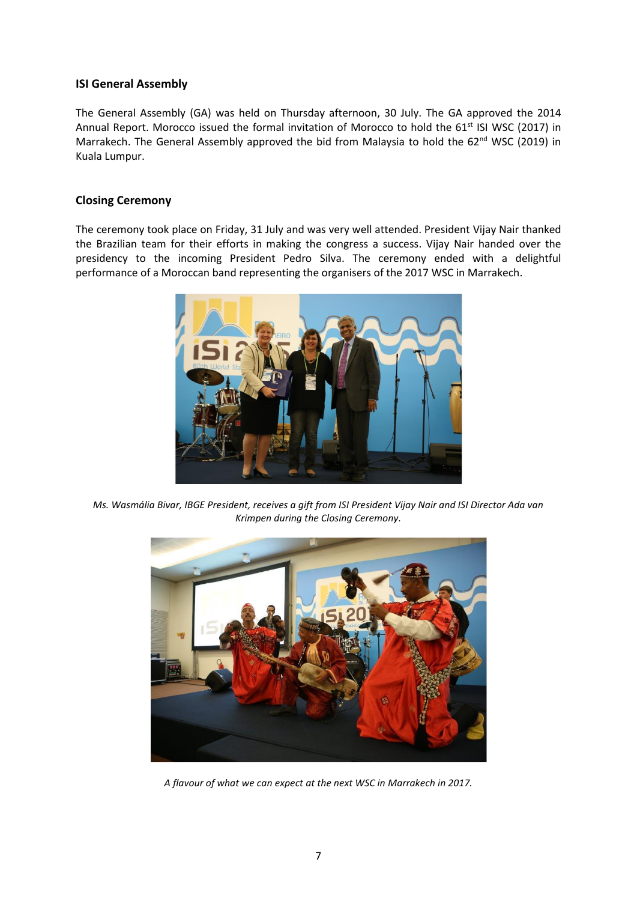## **ISI General Assembly**

The General Assembly (GA) was held on Thursday afternoon, 30 July. The GA approved the 2014 Annual Report. Morocco issued the formal invitation of Morocco to hold the 61<sup>st</sup> ISI WSC (2017) in Marrakech. The General Assembly approved the bid from Malaysia to hold the 62<sup>nd</sup> WSC (2019) in Kuala Lumpur.

## **Closing Ceremony**

The ceremony took place on Friday, 31 July and was very well attended. President Vijay Nair thanked the Brazilian team for their efforts in making the congress a success. Vijay Nair handed over the presidency to the incoming President Pedro Silva. The ceremony ended with a delightful performance of a Moroccan band representing the organisers of the 2017 WSC in Marrakech.



*Ms. Wasmália Bivar, IBGE President, receives a gift from ISI President Vijay Nair and ISI Director Ada van Krimpen during the Closing Ceremony.*



*A flavour of what we can expect at the next WSC in Marrakech in 2017.*